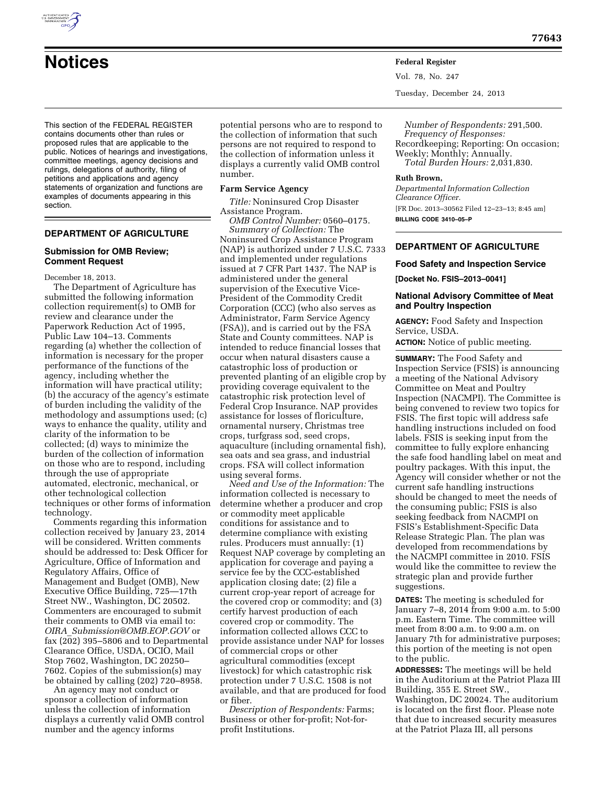

**Notices Federal Register**

Vol. 78, No. 247

Tuesday, December 24, 2013

This section of the FEDERAL REGISTER contains documents other than rules or proposed rules that are applicable to the public. Notices of hearings and investigations, committee meetings, agency decisions and rulings, delegations of authority, filing of petitions and applications and agency statements of organization and functions are examples of documents appearing in this section.

# **DEPARTMENT OF AGRICULTURE**

### **Submission for OMB Review; Comment Request**

December 18, 2013.

The Department of Agriculture has submitted the following information collection requirement(s) to OMB for review and clearance under the Paperwork Reduction Act of 1995, Public Law 104–13. Comments regarding (a) whether the collection of information is necessary for the proper performance of the functions of the agency, including whether the information will have practical utility; (b) the accuracy of the agency's estimate of burden including the validity of the methodology and assumptions used; (c) ways to enhance the quality, utility and clarity of the information to be collected; (d) ways to minimize the burden of the collection of information on those who are to respond, including through the use of appropriate automated, electronic, mechanical, or other technological collection techniques or other forms of information technology.

Comments regarding this information collection received by January 23, 2014 will be considered. Written comments should be addressed to: Desk Officer for Agriculture, Office of Information and Regulatory Affairs, Office of Management and Budget (OMB), New Executive Office Building, 725—17th Street NW., Washington, DC 20502. Commenters are encouraged to submit their comments to OMB via email to: *OIRA*\_*[Submission@OMB.EOP.GOV](mailto:OIRA_Submission@OMB.EOP.GOV)* or fax (202) 395–5806 and to Departmental Clearance Office, USDA, OCIO, Mail Stop 7602, Washington, DC 20250– 7602. Copies of the submission(s) may be obtained by calling (202) 720–8958.

An agency may not conduct or sponsor a collection of information unless the collection of information displays a currently valid OMB control number and the agency informs

potential persons who are to respond to the collection of information that such persons are not required to respond to the collection of information unless it displays a currently valid OMB control number.

#### **Farm Service Agency**

*Title:* Noninsured Crop Disaster Assistance Program.

*OMB Control Number:* 0560–0175. *Summary of Collection:* The Noninsured Crop Assistance Program (NAP) is authorized under 7 U.S.C. 7333 and implemented under regulations issued at 7 CFR Part 1437. The NAP is administered under the general supervision of the Executive Vice-President of the Commodity Credit Corporation (CCC) (who also serves as Administrator, Farm Service Agency (FSA)), and is carried out by the FSA State and County committees. NAP is intended to reduce financial losses that occur when natural disasters cause a catastrophic loss of production or prevented planting of an eligible crop by providing coverage equivalent to the catastrophic risk protection level of Federal Crop Insurance. NAP provides assistance for losses of floriculture, ornamental nursery, Christmas tree crops, turfgrass sod, seed crops, aquaculture (including ornamental fish), sea oats and sea grass, and industrial crops. FSA will collect information using several forms.

*Need and Use of the Information:* The information collected is necessary to determine whether a producer and crop or commodity meet applicable conditions for assistance and to determine compliance with existing rules. Producers must annually: (1) Request NAP coverage by completing an application for coverage and paying a service fee by the CCC-established application closing date; (2) file a current crop-year report of acreage for the covered crop or commodity; and (3) certify harvest production of each covered crop or commodity. The information collected allows CCC to provide assistance under NAP for losses of commercial crops or other agricultural commodities (except livestock) for which catastrophic risk protection under 7 U.S.C. 1508 is not available, and that are produced for food or fiber.

*Description of Respondents:* Farms; Business or other for-profit; Not-forprofit Institutions.

*Number of Respondents:* 291,500. *Frequency of Responses:*  Recordkeeping; Reporting: On occasion; Weekly; Monthly; Annually. *Total Burden Hours:* 2,031,830.

#### **Ruth Brown,**

*Departmental Information Collection Clearance Officer.*  [FR Doc. 2013–30562 Filed 12–23–13; 8:45 am] **BILLING CODE 3410–05–P** 

## **DEPARTMENT OF AGRICULTURE**

### **Food Safety and Inspection Service**

**[Docket No. FSIS–2013–0041]** 

### **National Advisory Committee of Meat and Poultry Inspection**

**AGENCY:** Food Safety and Inspection Service, USDA.

**ACTION:** Notice of public meeting.

**SUMMARY:** The Food Safety and Inspection Service (FSIS) is announcing a meeting of the National Advisory Committee on Meat and Poultry Inspection (NACMPI). The Committee is being convened to review two topics for FSIS. The first topic will address safe handling instructions included on food labels. FSIS is seeking input from the committee to fully explore enhancing the safe food handling label on meat and poultry packages. With this input, the Agency will consider whether or not the current safe handling instructions should be changed to meet the needs of the consuming public; FSIS is also seeking feedback from NACMPI on FSIS's Establishment-Specific Data Release Strategic Plan. The plan was developed from recommendations by the NACMPI committee in 2010. FSIS would like the committee to review the strategic plan and provide further suggestions.

**DATES:** The meeting is scheduled for January 7–8, 2014 from 9:00 a.m. to 5:00 p.m. Eastern Time. The committee will meet from 8:00 a.m. to 9:00 a.m. on January 7th for administrative purposes; this portion of the meeting is not open to the public.

**ADDRESSES:** The meetings will be held in the Auditorium at the Patriot Plaza III Building, 355 E. Street SW., Washington, DC 20024. The auditorium is located on the first floor. Please note that due to increased security measures at the Patriot Plaza III, all persons